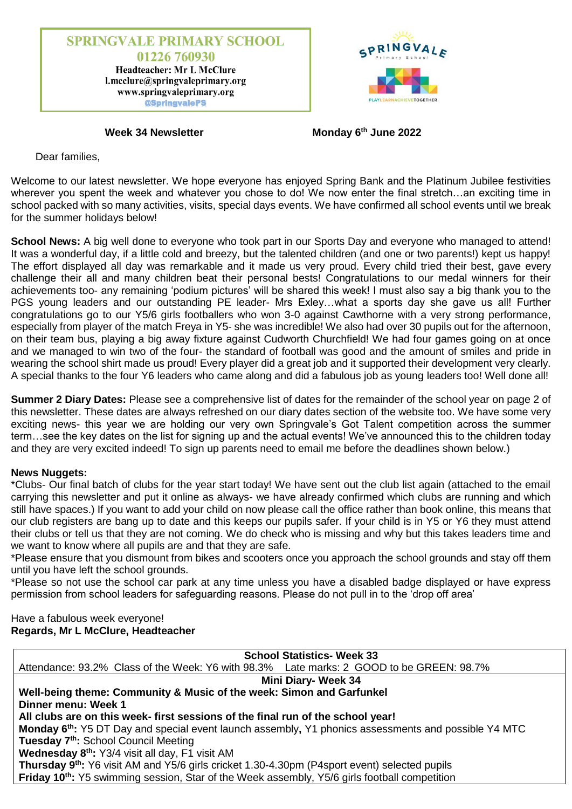



**Week 34 Newsletter** 

**th June 2022**

Dear families,

Welcome to our latest newsletter. We hope everyone has enjoyed Spring Bank and the Platinum Jubilee festivities wherever you spent the week and whatever you chose to do! We now enter the final stretch...an exciting time in school packed with so many activities, visits, special days events. We have confirmed all school events until we break for the summer holidays below!

**School News:** A big well done to everyone who took part in our Sports Day and everyone who managed to attend! It was a wonderful day, if a little cold and breezy, but the talented children (and one or two parents!) kept us happy! The effort displayed all day was remarkable and it made us very proud. Every child tried their best, gave every challenge their all and many children beat their personal bests! Congratulations to our medal winners for their achievements too- any remaining 'podium pictures' will be shared this week! I must also say a big thank you to the PGS young leaders and our outstanding PE leader- Mrs Exley...what a sports day she gave us all! Further congratulations go to our Y5/6 girls footballers who won 3-0 against Cawthorne with a very strong performance, especially from player of the match Freya in Y5- she was incredible! We also had over 30 pupils out for the afternoon, on their team bus, playing a big away fixture against Cudworth Churchfield! We had four games going on at once and we managed to win two of the four- the standard of football was good and the amount of smiles and pride in wearing the school shirt made us proud! Every player did a great job and it supported their development very clearly. A special thanks to the four Y6 leaders who came along and did a fabulous job as young leaders too! Well done all!

**Summer 2 Diary Dates:** Please see a comprehensive list of dates for the remainder of the school year on page 2 of this newsletter. These dates are always refreshed on our diary dates section of the website too. We have some very exciting news- this year we are holding our very own Springvale's Got Talent competition across the summer term…see the key dates on the list for signing up and the actual events! We've announced this to the children today and they are very excited indeed! To sign up parents need to email me before the deadlines shown below.)

### **News Nuggets:**

\*Clubs- Our final batch of clubs for the year start today! We have sent out the club list again (attached to the email carrying this newsletter and put it online as always- we have already confirmed which clubs are running and which still have spaces.) If you want to add your child on now please call the office rather than book online, this means that our club registers are bang up to date and this keeps our pupils safer. If your child is in Y5 or Y6 they must attend their clubs or tell us that they are not coming. We do check who is missing and why but this takes leaders time and we want to know where all pupils are and that they are safe.

\*Please ensure that you dismount from bikes and scooters once you approach the school grounds and stay off them until you have left the school grounds.

\*Please so not use the school car park at any time unless you have a disabled badge displayed or have express permission from school leaders for safeguarding reasons. Please do not pull in to the 'drop off area'

Have a fabulous week everyone! **Regards, Mr L McClure, Headteacher**

| <b>School Statistics- Week 33</b>                                                                          |
|------------------------------------------------------------------------------------------------------------|
| Attendance: 93.2% Class of the Week: Y6 with 98.3% Late marks: 2 GOOD to be GREEN: 98.7%                   |
| <b>Mini Diary- Week 34</b>                                                                                 |
| Well-being theme: Community & Music of the week: Simon and Garfunkel                                       |
| Dinner menu: Week 1                                                                                        |
| All clubs are on this week- first sessions of the final run of the school year!                            |
| <b>Monday 6th:</b> Y5 DT Day and special event launch assembly, Y1 phonics assessments and possible Y4 MTC |
| Tuesday 7 <sup>th</sup> : School Council Meeting                                                           |
| Wednesday 8 <sup>th</sup> : Y3/4 visit all day, F1 visit AM                                                |
| Thursday 9 <sup>th</sup> : Y6 visit AM and Y5/6 girls cricket 1.30-4.30pm (P4sport event) selected pupils  |
| Friday 10 <sup>th</sup> : Y5 swimming session, Star of the Week assembly, Y5/6 girls football competition  |